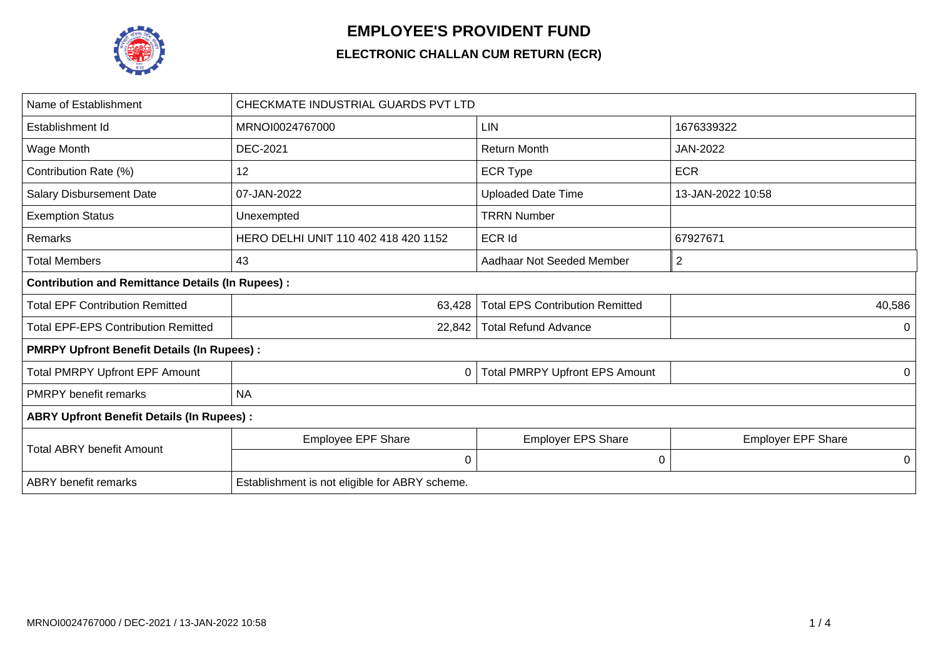

## **EMPLOYEE'S PROVIDENT FUND**

## **ELECTRONIC CHALLAN CUM RETURN (ECR)**

| Name of Establishment                                   | CHECKMATE INDUSTRIAL GUARDS PVT LTD            |                                        |                           |  |  |  |  |  |  |  |
|---------------------------------------------------------|------------------------------------------------|----------------------------------------|---------------------------|--|--|--|--|--|--|--|
| Establishment Id                                        | MRNOI0024767000                                | LIN                                    | 1676339322                |  |  |  |  |  |  |  |
| Wage Month                                              | <b>DEC-2021</b>                                | <b>Return Month</b>                    | <b>JAN-2022</b>           |  |  |  |  |  |  |  |
| Contribution Rate (%)                                   | 12                                             | <b>ECR Type</b>                        | <b>ECR</b>                |  |  |  |  |  |  |  |
| <b>Salary Disbursement Date</b>                         | 07-JAN-2022                                    | <b>Uploaded Date Time</b>              | 13-JAN-2022 10:58         |  |  |  |  |  |  |  |
| <b>Exemption Status</b>                                 | Unexempted                                     | <b>TRRN Number</b>                     |                           |  |  |  |  |  |  |  |
| Remarks                                                 | HERO DELHI UNIT 110 402 418 420 1152           | 67927671                               |                           |  |  |  |  |  |  |  |
| <b>Total Members</b>                                    | 43                                             | $\overline{2}$                         |                           |  |  |  |  |  |  |  |
| <b>Contribution and Remittance Details (In Rupees):</b> |                                                |                                        |                           |  |  |  |  |  |  |  |
| <b>Total EPF Contribution Remitted</b>                  | 63,428                                         | <b>Total EPS Contribution Remitted</b> | 40,586                    |  |  |  |  |  |  |  |
| <b>Total EPF-EPS Contribution Remitted</b>              | 22,842                                         | <b>Total Refund Advance</b>            | 0                         |  |  |  |  |  |  |  |
| <b>PMRPY Upfront Benefit Details (In Rupees):</b>       |                                                |                                        |                           |  |  |  |  |  |  |  |
| <b>Total PMRPY Upfront EPF Amount</b>                   | 0                                              | <b>Total PMRPY Upfront EPS Amount</b>  | 0                         |  |  |  |  |  |  |  |
| <b>PMRPY benefit remarks</b>                            | <b>NA</b>                                      |                                        |                           |  |  |  |  |  |  |  |
| <b>ABRY Upfront Benefit Details (In Rupees):</b>        |                                                |                                        |                           |  |  |  |  |  |  |  |
| <b>Total ABRY benefit Amount</b>                        | <b>Employee EPF Share</b>                      | <b>Employer EPS Share</b>              | <b>Employer EPF Share</b> |  |  |  |  |  |  |  |
|                                                         | $\mathbf 0$                                    | 0                                      | 0                         |  |  |  |  |  |  |  |
| <b>ABRY</b> benefit remarks                             | Establishment is not eligible for ABRY scheme. |                                        |                           |  |  |  |  |  |  |  |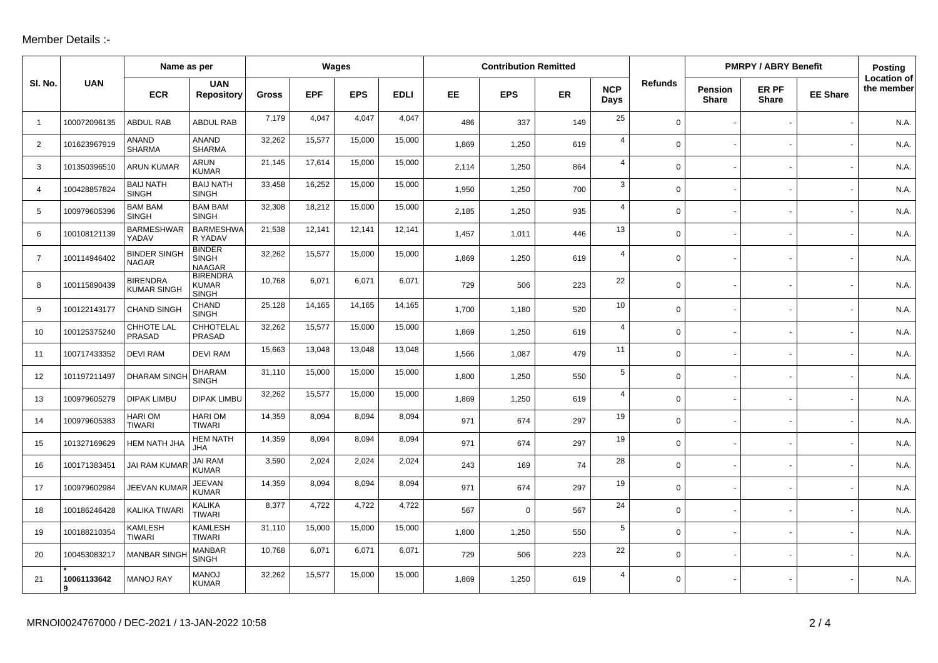## Member Details :-

|                |                  | Name as per                           |                                                 | Wages        |            |            |             | <b>Contribution Remitted</b> |            |           |                    |                | <b>PMRPY / ABRY Benefit</b> |                       |                 | <b>Posting</b>                   |
|----------------|------------------|---------------------------------------|-------------------------------------------------|--------------|------------|------------|-------------|------------------------------|------------|-----------|--------------------|----------------|-----------------------------|-----------------------|-----------------|----------------------------------|
| SI. No.        | <b>UAN</b>       | <b>ECR</b>                            | <b>UAN</b><br><b>Repository</b>                 | <b>Gross</b> | <b>EPF</b> | <b>EPS</b> | <b>EDLI</b> | EE                           | <b>EPS</b> | <b>ER</b> | <b>NCP</b><br>Days | <b>Refunds</b> | Pension<br><b>Share</b>     | ER PF<br><b>Share</b> | <b>EE Share</b> | <b>Location of</b><br>the member |
| $\overline{1}$ | 100072096135     | <b>ABDUL RAB</b>                      | <b>ABDUL RAB</b>                                | 7,179        | 4,047      | 4,047      | 4,047       | 486                          | 337        | 149       | 25                 | $\Omega$       |                             |                       |                 | N.A.                             |
| 2              | 101623967919     | ANAND<br><b>SHARMA</b>                | <b>ANAND</b><br><b>SHARMA</b>                   | 32,262       | 15,577     | 15,000     | 15,000      | 1,869                        | 1,250      | 619       | $\overline{4}$     | $\Omega$       |                             |                       |                 | N.A.                             |
| 3              | 101350396510     | <b>ARUN KUMAR</b>                     | <b>ARUN</b><br><b>KUMAR</b>                     | 21,145       | 17,614     | 15,000     | 15,000      | 2,114                        | 1,250      | 864       | $\overline{4}$     | $\mathbf 0$    |                             |                       |                 | N.A.                             |
| 4              | 100428857824     | <b>BAIJ NATH</b><br><b>SINGH</b>      | <b>BAIJ NATH</b><br><b>SINGH</b>                | 33,458       | 16,252     | 15,000     | 15,000      | 1,950                        | 1,250      | 700       | 3                  | $\Omega$       |                             |                       |                 | N.A.                             |
| 5              | 100979605396     | <b>BAM BAM</b><br><b>SINGH</b>        | <b>BAM BAM</b><br><b>SINGH</b>                  | 32,308       | 18,212     | 15,000     | 15,000      | 2,185                        | 1,250      | 935       | $\overline{4}$     | 0              |                             |                       |                 | N.A.                             |
| 6              | 100108121139     | <b>BARMESHWAR</b><br>YADAV            | <b>BARMESHWA</b><br>R YADAV                     | 21,538       | 12,141     | 12,141     | 12,141      | 1,457                        | 1,011      | 446       | 13                 | $\Omega$       |                             |                       |                 | N.A.                             |
| $\overline{7}$ | 100114946402     | <b>BINDER SINGH</b><br><b>NAGAR</b>   | <b>BINDER</b><br><b>SINGH</b><br><b>NAAGAR</b>  | 32,262       | 15,577     | 15,000     | 15,000      | 1,869                        | 1,250      | 619       | $\overline{4}$     | $\Omega$       |                             |                       |                 | N.A.                             |
| 8              | 100115890439     | <b>BIRENDRA</b><br><b>KUMAR SINGH</b> | <b>BIRENDRA</b><br><b>KUMAR</b><br><b>SINGH</b> | 10,768       | 6,071      | 6,071      | 6,071       | 729                          | 506        | 223       | 22                 | 0              |                             |                       |                 | N.A.                             |
| 9              | 100122143177     | <b>CHAND SINGH</b>                    | CHAND<br><b>SINGH</b>                           | 25,128       | 14,165     | 14,165     | 14,165      | 1,700                        | 1,180      | 520       | 10                 | 0              |                             |                       |                 | N.A.                             |
| 10             | 100125375240     | CHHOTE LAL<br>PRASAD                  | CHHOTELAL<br><b>PRASAD</b>                      | 32,262       | 15,577     | 15,000     | 15,000      | 1,869                        | 1,250      | 619       | $\overline{4}$     | $\Omega$       |                             |                       |                 | N.A.                             |
| 11             | 100717433352     | <b>DEVI RAM</b>                       | <b>DEVI RAM</b>                                 | 15,663       | 13,048     | 13,048     | 13,048      | 1,566                        | 1,087      | 479       | 11                 | $\Omega$       |                             |                       |                 | N.A.                             |
| 12             | 101197211497     | <b>DHARAM SING</b>                    | <b>DHARAM</b><br><b>SINGH</b>                   | 31,110       | 15,000     | 15,000     | 15,000      | 1.800                        | 1,250      | 550       | $\sqrt{5}$         | $\Omega$       |                             |                       |                 | N.A.                             |
| 13             | 100979605279     | <b>DIPAK LIMBU</b>                    | <b>DIPAK LIMBU</b>                              | 32,262       | 15,577     | 15,000     | 15,000      | 1,869                        | 1,250      | 619       | $\overline{4}$     | $\mathbf 0$    |                             |                       |                 | N.A.                             |
| 14             | 100979605383     | <b>HARIOM</b><br><b>TIWARI</b>        | <b>HARIOM</b><br><b>TIWARI</b>                  | 14,359       | 8,094      | 8,094      | 8,094       | 971                          | 674        | 297       | 19                 | 0              |                             |                       |                 | N.A.                             |
| 15             | 101327169629     | HEM NATH JHA                          | <b>HEM NATH</b><br><b>JHA</b>                   | 14,359       | 8,094      | 8,094      | 8,094       | 971                          | 674        | 297       | 19                 | $\Omega$       |                             |                       |                 | N.A.                             |
| 16             | 100171383451     | JAI RAM KUMAR                         | <b>JAI RAM</b><br>KUMAR                         | 3,590        | 2,024      | 2,024      | 2,024       | 243                          | 169        | 74        | 28                 | $\mathbf 0$    |                             |                       |                 | N.A.                             |
| 17             | 100979602984     | JEEVAN KUMA                           | JEEVAN<br><b>KUMAR</b>                          | 14,359       | 8,094      | 8,094      | 8,094       | 971                          | 674        | 297       | 19                 | $\Omega$       |                             |                       |                 | N.A.                             |
| 18             | 100186246428     | KALIKA TIWARI                         | <b>KALIKA</b><br><b>TIWARI</b>                  | 8,377        | 4,722      | 4,722      | 4,722       | 567                          | $\Omega$   | 567       | 24                 | $\mathbf 0$    |                             |                       |                 | N.A.                             |
| 19             | 100188210354     | KAMLESH<br><b>TIWARI</b>              | <b>KAMLESH</b><br><b>TIWARI</b>                 | 31,110       | 15,000     | 15,000     | 15,000      | 1,800                        | 1,250      | 550       | 5                  | $\Omega$       |                             |                       |                 | N.A                              |
| 20             | 100453083217     | <b>MANBAR SING</b>                    | <b>MANBAR</b><br><b>SINGH</b>                   | 10,768       | 6,071      | 6,071      | 6,071       | 729                          | 506        | 223       | 22                 | $\Omega$       |                             |                       |                 | N.A.                             |
| 21             | 10061133642<br>9 | <b>MANOJ RAY</b>                      | <b>MANOJ</b><br><b>KUMAR</b>                    | 32,262       | 15,577     | 15,000     | 15,000      | 1,869                        | 1,250      | 619       | 4                  | $\Omega$       |                             |                       |                 | N.A.                             |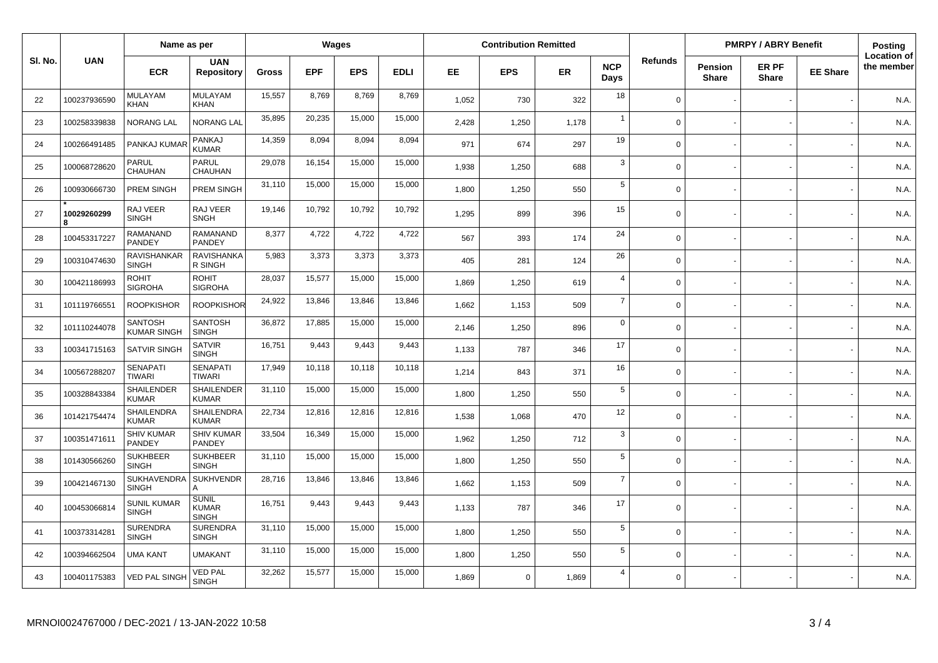|         |                  | Name as per                          |                                              | Wages        |            |            | <b>Contribution Remitted</b> |       |             |       |                    | <b>PMRPY / ABRY Benefit</b> |                         |                       | Posting         |                                  |
|---------|------------------|--------------------------------------|----------------------------------------------|--------------|------------|------------|------------------------------|-------|-------------|-------|--------------------|-----------------------------|-------------------------|-----------------------|-----------------|----------------------------------|
| SI. No. | <b>UAN</b>       | <b>ECR</b>                           | <b>UAN</b><br><b>Repository</b>              | <b>Gross</b> | <b>EPF</b> | <b>EPS</b> | <b>EDLI</b>                  | EE    | <b>EPS</b>  | ER    | <b>NCP</b><br>Days | <b>Refunds</b>              | Pension<br><b>Share</b> | ER PF<br><b>Share</b> | <b>EE Share</b> | <b>Location of</b><br>the member |
| 22      | 100237936590     | <b>MULAYAM</b><br><b>KHAN</b>        | MULAYAM<br><b>KHAN</b>                       | 15,557       | 8,769      | 8,769      | 8,769                        | 1,052 | 730         | 322   | 18                 | $\Omega$                    |                         |                       |                 | N.A.                             |
| 23      | 100258339838     | NORANG LAL                           | <b>NORANG LAL</b>                            | 35,895       | 20,235     | 15,000     | 15,000                       | 2,428 | 1,250       | 1,178 | $\overline{1}$     | $\Omega$                    |                         |                       |                 | N.A.                             |
| 24      | 100266491485     | PANKAJ KUMAR                         | PANKAJ<br><b>KUMAR</b>                       | 14,359       | 8,094      | 8,094      | 8,094                        | 971   | 674         | 297   | 19                 | $\Omega$                    |                         |                       |                 | N.A.                             |
| 25      | 100068728620     | PARUL<br>CHAUHAN                     | <b>PARUL</b><br>CHAUHAN                      | 29,078       | 16,154     | 15,000     | 15,000                       | 1,938 | 1,250       | 688   | 3                  | $\Omega$                    |                         |                       |                 | N.A.                             |
| 26      | 100930666730     | PREM SINGH                           | PREM SINGH                                   | 31,110       | 15,000     | 15,000     | 15,000                       | 1.800 | 1,250       | 550   | 5                  | $\Omega$                    |                         |                       |                 | N.A.                             |
| 27      | 10029260299<br>R | RAJ VEER<br><b>SINGH</b>             | RAJ VEER<br><b>SNGH</b>                      | 19.146       | 10,792     | 10,792     | 10,792                       | 1,295 | 899         | 396   | 15                 | $\Omega$                    |                         |                       |                 | N.A.                             |
| 28      | 100453317227     | <b>RAMANAND</b><br>PANDEY            | <b>RAMANAND</b><br>PANDEY                    | 8.377        | 4.722      | 4,722      | 4,722                        | 567   | 393         | 174   | 24                 | $\Omega$                    |                         |                       |                 | N.A.                             |
| 29      | 100310474630     | RAVISHANKAR<br><b>SINGH</b>          | <b>RAVISHANKA</b><br>R SINGH                 | 5,983        | 3,373      | 3,373      | 3,373                        | 405   | 281         | 124   | 26                 | $\Omega$                    |                         |                       |                 | N.A.                             |
| 30      | 100421186993     | <b>ROHIT</b><br><b>SIGROHA</b>       | <b>ROHIT</b><br><b>SIGROHA</b>               | 28,037       | 15,577     | 15,000     | 15,000                       | 1,869 | 1,250       | 619   | $\overline{4}$     | $\Omega$                    |                         |                       |                 | N.A.                             |
| 31      | 101119766551     | <b>ROOPKISHOR</b>                    | <b>ROOPKISHOR</b>                            | 24,922       | 13,846     | 13,846     | 13,846                       | 1,662 | 1,153       | 509   | $\overline{7}$     | $\Omega$                    |                         |                       |                 | N.A.                             |
| 32      | 101110244078     | <b>SANTOSH</b><br><b>KUMAR SINGH</b> | <b>SANTOSH</b><br><b>SINGH</b>               | 36.872       | 17,885     | 15,000     | 15,000                       | 2,146 | 1,250       | 896   | $\mathbf 0$        | $\Omega$                    |                         |                       |                 | N.A.                             |
| 33      | 100341715163     | <b>SATVIR SINGH</b>                  | <b>SATVIR</b><br><b>SINGH</b>                | 16,751       | 9,443      | 9,443      | 9,443                        | 1,133 | 787         | 346   | 17                 | $\Omega$                    |                         |                       |                 | N.A.                             |
| 34      | 100567288207     | <b>SENAPATI</b><br><b>TIWARI</b>     | <b>SENAPATI</b><br><b>TIWARI</b>             | 17,949       | 10,118     | 10,118     | 10,118                       | 1.214 | 843         | 371   | 16                 | $\Omega$                    |                         |                       |                 | N.A.                             |
| 35      | 100328843384     | <b>SHAILENDER</b><br><b>KUMAR</b>    | SHAILENDER<br><b>KUMAR</b>                   | 31,110       | 15,000     | 15,000     | 15,000                       | 1,800 | 1,250       | 550   | 5                  | $\Omega$                    |                         |                       |                 | N.A.                             |
| 36      | 101421754474     | SHAILENDRA<br><b>KUMAR</b>           | <b>SHAILENDRA</b><br><b>KUMAR</b>            | 22,734       | 12,816     | 12,816     | 12,816                       | 1,538 | 1,068       | 470   | 12                 | $\Omega$                    |                         |                       |                 | N.A.                             |
| 37      | 100351471611     | <b>SHIV KUMAR</b><br>PANDEY          | <b>SHIV KUMAR</b><br>PANDEY                  | 33,504       | 16,349     | 15,000     | 15,000                       | 1,962 | 1,250       | 712   | $\mathbf{3}$       | $\Omega$                    |                         |                       |                 | N.A.                             |
| 38      | 101430566260     | <b>SUKHBEER</b><br><b>SINGH</b>      | <b>SUKHBEER</b><br><b>SINGH</b>              | 31,110       | 15,000     | 15,000     | 15,000                       | 1,800 | 1,250       | 550   | $5\phantom{.0}$    | $\Omega$                    |                         |                       |                 | N.A.                             |
| 39      | 100421467130     | <b>SUKHAVENDRA</b><br><b>SINGH</b>   | <b>SUKHVENDR</b><br>А                        | 28,716       | 13,846     | 13,846     | 13,846                       | 1,662 | 1,153       | 509   | $\overline{7}$     | $\mathbf 0$                 |                         |                       |                 | N.A.                             |
| 40      | 100453066814     | <b>SUNIL KUMAR</b><br><b>SINGH</b>   | <b>SUNIL</b><br><b>KUMAR</b><br><b>SINGH</b> | 16,751       | 9.443      | 9,443      | 9,443                        | 1,133 | 787         | 346   | 17                 | $\Omega$                    |                         |                       |                 | N.A.                             |
| 41      | 100373314281     | <b>SURENDRA</b><br><b>SINGH</b>      | <b>SURENDRA</b><br><b>SINGH</b>              | 31,110       | 15,000     | 15,000     | 15,000                       | 1,800 | 1,250       | 550   | 5                  | $\Omega$                    |                         |                       |                 | N.A.                             |
| 42      | 100394662504     | <b>UMA KANT</b>                      | <b>UMAKANT</b>                               | 31,110       | 15,000     | 15,000     | 15,000                       | 1,800 | 1,250       | 550   | 5                  | $\Omega$                    |                         |                       |                 | N.A.                             |
| 43      | 100401175383     | VED PAL SINGH                        | <b>VED PAL</b><br><b>SINGH</b>               | 32,262       | 15,577     | 15,000     | 15,000                       | 1,869 | $\mathbf 0$ | 1,869 | $\overline{4}$     | $\Omega$                    |                         |                       |                 | N.A.                             |